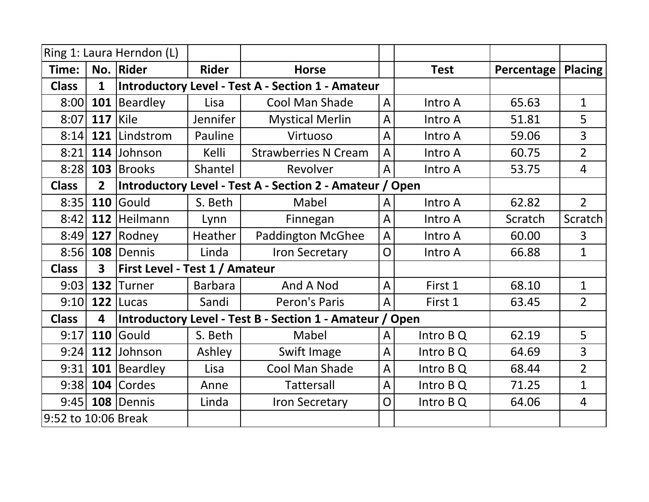|                     |                         | Ring 1: Laura Herndon (L)             |                 |                                                          |                |             |            |                |
|---------------------|-------------------------|---------------------------------------|-----------------|----------------------------------------------------------|----------------|-------------|------------|----------------|
| Time:               |                         | No. Rider                             | <b>Rider</b>    | <b>Horse</b>                                             |                | <b>Test</b> | Percentage | <b>Placing</b> |
| <b>Class</b>        | $\mathbf{1}$            |                                       |                 | <b>Introductory Level - Test A - Section 1 - Amateur</b> |                |             |            |                |
| 8:00                |                         | 101 Beardley                          | Lisa            | <b>Cool Man Shade</b>                                    | A              | Intro A     | 65.63      | $\mathbf{1}$   |
| 8:07                | 117                     | Kile                                  | <b>Jennifer</b> | <b>Mystical Merlin</b>                                   | $\overline{A}$ | Intro A     | 51.81      | 5              |
| 8:14                | 121                     | Lindstrom                             | Pauline         | Virtuoso                                                 | $\overline{A}$ | Intro A     | 59.06      | $\overline{3}$ |
| 8:21                |                         | 114 Johnson                           | Kelli           | <b>Strawberries N Cream</b>                              | $\overline{A}$ | Intro A     | 60.75      | $\overline{2}$ |
| 8:28                |                         | 103 Brooks                            | Shantel         | Revolver                                                 | $\bigwedge$    | Intro A     | 53.75      | 4              |
| <b>Class</b>        | 2 <sup>2</sup>          |                                       |                 | Introductory Level - Test A - Section 2 - Amateur / Open |                |             |            |                |
| 8:35                | 110                     | <b>Gould</b>                          | S. Beth         | Mabel                                                    | A              | Intro A     | 62.82      | $\overline{2}$ |
| 8:42                |                         | 112 Heilmann                          | Lynn            | Finnegan                                                 | $\overline{A}$ | Intro A     | Scratch    | Scratch        |
| 8:49                | 127                     | Rodney                                | Heather         | <b>Paddington McGhee</b>                                 | $\overline{A}$ | Intro A     | 60.00      | $\overline{3}$ |
| 8:56                | 108                     | Dennis                                | Linda           | <b>Iron Secretary</b>                                    | O              | Intro A     | 66.88      | $\mathbf 1$    |
| <b>Class</b>        | $\overline{\mathbf{3}}$ | <b>First Level - Test 1 / Amateur</b> |                 |                                                          |                |             |            |                |
| 9:03                |                         | 132 Turner                            | <b>Barbara</b>  | And A Nod                                                | A              | First 1     | 68.10      | $\mathbf{1}$   |
| 9:10                |                         | $122$ Lucas                           | Sandi           | Peron's Paris                                            | $\overline{A}$ | First 1     | 63.45      | $\overline{2}$ |
| <b>Class</b>        | 4                       |                                       |                 | Introductory Level - Test B - Section 1 - Amateur / Open |                |             |            |                |
| 9:17                | 110                     | Gould                                 | S. Beth         | Mabel                                                    | A              | Intro B Q   | 62.19      | 5              |
| 9:24                |                         | 112 Johnson                           | Ashley          | Swift Image                                              | $\bigwedge$    | Intro B Q   | 64.69      | $\overline{3}$ |
| 9:31                |                         | 101 Beardley                          | Lisa            | Cool Man Shade                                           | $\overline{A}$ | Intro B Q   | 68.44      | $\overline{2}$ |
| 9:38                |                         | 104 Cordes                            | Anne            | <b>Tattersall</b>                                        | $\overline{A}$ | Intro B Q   | 71.25      | $\mathbf{1}$   |
| 9:45                |                         | 108 Dennis                            | Linda           | <b>Iron Secretary</b>                                    | O              | Intro B Q   | 64.06      | $\overline{4}$ |
| 9:52 to 10:06 Break |                         |                                       |                 |                                                          |                |             |            |                |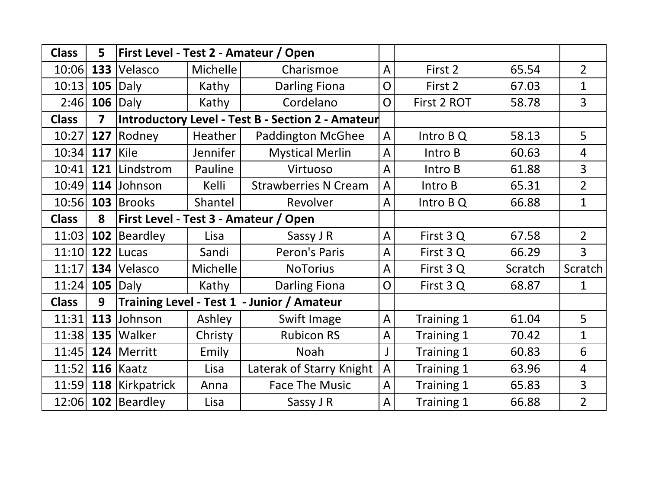| <b>Class</b> | 5                       |                                              |          | First Level - Test 2 - Amateur / Open             |                |             |         |                |
|--------------|-------------------------|----------------------------------------------|----------|---------------------------------------------------|----------------|-------------|---------|----------------|
| 10:06        |                         | 133 Velasco                                  | Michelle | Charismoe                                         | $\overline{A}$ | First 2     | 65.54   | $\overline{2}$ |
| 10:13        | 105                     | Daly                                         | Kathy    | <b>Darling Fiona</b>                              | O              | First 2     | 67.03   | $\mathbf{1}$   |
| 2:46         |                         | $106$ Daly                                   | Kathy    | Cordelano                                         | O              | First 2 ROT | 58.78   | $\overline{3}$ |
| <b>Class</b> | $\overline{\mathbf{z}}$ |                                              |          | Introductory Level - Test B - Section 2 - Amateur |                |             |         |                |
| 10:27        | 127                     | Rodney                                       | Heather  | <b>Paddington McGhee</b>                          | $\overline{A}$ | Intro B Q   | 58.13   | 5              |
| 10:34        | $117$ Kile              |                                              | Jennifer | <b>Mystical Merlin</b>                            | $\overline{A}$ | Intro B     | 60.63   | $\overline{4}$ |
| 10:41        |                         | 121 Lindstrom                                | Pauline  | Virtuoso                                          | $\overline{A}$ | Intro B     | 61.88   | $\overline{3}$ |
| 10:49        |                         | 114 Johnson                                  | Kelli    | <b>Strawberries N Cream</b>                       | $\overline{A}$ | Intro B     | 65.31   | $\overline{2}$ |
| 10:56        |                         | 103 Brooks                                   | Shantel  | Revolver                                          | $\overline{A}$ | Intro B Q   | 66.88   | $\mathbf{1}$   |
| <b>Class</b> | 8                       | <b>First Level - Test 3 - Amateur / Open</b> |          |                                                   |                |             |         |                |
| 11:03        |                         | 102 Beardley                                 | Lisa     | Sassy J R                                         | $\overline{A}$ | First 3 Q   | 67.58   | $\overline{2}$ |
| 11:10        |                         | $122$ Lucas                                  | Sandi    | Peron's Paris                                     | $\overline{A}$ | First 3 Q   | 66.29   | $\overline{3}$ |
| 11:17        |                         | 134 Velasco                                  | Michelle | <b>NoTorius</b>                                   | $\overline{A}$ | First 3 Q   | Scratch | Scratch        |
| 11:24        |                         | $105$ Daly                                   | Kathy    | <b>Darling Fiona</b>                              | O              | First 3 Q   | 68.87   | $\mathbf{1}$   |
| <b>Class</b> | 9                       |                                              |          | Training Level - Test 1 - Junior / Amateur        |                |             |         |                |
| 11:31        |                         | 113 Johnson                                  | Ashley   | Swift Image                                       | $\overline{A}$ | Training 1  | 61.04   | 5              |
| 11:38        |                         | $135$ Walker                                 | Christy  | <b>Rubicon RS</b>                                 | A              | Training 1  | 70.42   | $\mathbf{1}$   |
| 11:45        |                         | 124 Merritt                                  | Emily    | <b>Noah</b>                                       |                | Training 1  | 60.83   | 6              |
| 11:52        |                         | $116$ Kaatz                                  | Lisa     | Laterak of Starry Knight                          | $\overline{A}$ | Training 1  | 63.96   | $\overline{4}$ |
| 11:59        |                         | 118   Kirkpatrick                            | Anna     | <b>Face The Music</b>                             | A              | Training 1  | 65.83   | $\overline{3}$ |
| 12:06        |                         | 102 Beardley                                 | Lisa     | Sassy J R                                         | $\overline{A}$ | Training 1  | 66.88   | $\overline{2}$ |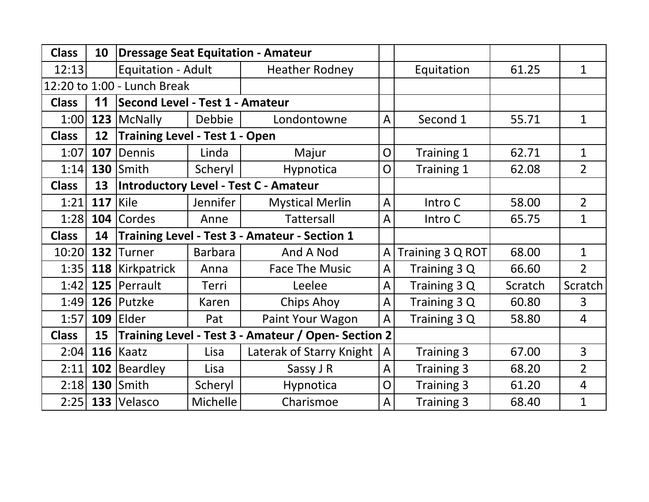| <b>Class</b> | 10                |                                       |                                               | <b>Dressage Seat Equitation - Amateur</b>           |                |                  |         |                |
|--------------|-------------------|---------------------------------------|-----------------------------------------------|-----------------------------------------------------|----------------|------------------|---------|----------------|
| 12:13        |                   | Equitation - Adult                    |                                               | <b>Heather Rodney</b>                               |                | Equitation       | 61.25   | $\mathbf{1}$   |
|              |                   | 12:20 to 1:00 - Lunch Break           |                                               |                                                     |                |                  |         |                |
| <b>Class</b> | 11                | Second Level - Test 1 - Amateur       |                                               |                                                     |                |                  |         |                |
| 1:00         |                   | 123   McNally                         | Debbie                                        | Londontowne                                         | $\overline{A}$ | Second 1         | 55.71   | $\mathbf{1}$   |
| <b>Class</b> | 12                | <b>Training Level - Test 1 - Open</b> |                                               |                                                     |                |                  |         |                |
| 1:07         | 107               | Dennis                                | Linda                                         | Majur                                               | $\overline{O}$ | Training 1       | 62.71   | $\mathbf{1}$   |
| 1:14         |                   | $130$ Smith                           | Scheryl                                       | Hypnotica                                           | $\overline{O}$ | Training 1       | 62.08   | $\overline{2}$ |
| <b>Class</b> | 13                |                                       |                                               | <b>Introductory Level - Test C - Amateur</b>        |                |                  |         |                |
| 1:21         | <b>117   Kile</b> |                                       | Jennifer                                      | <b>Mystical Merlin</b>                              | $\overline{A}$ | Intro C          | 58.00   | $\overline{2}$ |
| 1:28         |                   | 104 Cordes                            | Anne                                          | Tattersall                                          | $\overline{A}$ | Intro C          | 65.75   | $\mathbf{1}$   |
| <b>Class</b> | 14                |                                       | Training Level - Test 3 - Amateur - Section 1 |                                                     |                |                  |         |                |
| 10:20        |                   | 132 Turner                            | <b>Barbara</b>                                | And A Nod                                           | $\overline{A}$ | Training 3 Q ROT | 68.00   | $\mathbf{1}$   |
| 1:35         |                   | 118 Kirkpatrick                       | Anna                                          | <b>Face The Music</b>                               | $\overline{A}$ | Training 3 Q     | 66.60   | $\overline{2}$ |
| 1:42         |                   | 125   Perrault                        | Terri                                         | Leelee                                              | $\overline{A}$ | Training 3 Q     | Scratch | Scratch        |
| 1:49         |                   | 126 Putzke                            | Karen                                         | <b>Chips Ahoy</b>                                   | $\overline{A}$ | Training 3 Q     | 60.80   | 3              |
| 1:57         |                   | $109$ Elder                           | Pat                                           | Paint Your Wagon                                    | $\overline{A}$ | Training 3 Q     | 58.80   | $\overline{4}$ |
| <b>Class</b> | 15                |                                       |                                               | Training Level - Test 3 - Amateur / Open- Section 2 |                |                  |         |                |
| 2:04         |                   | $116$ Kaatz                           | Lisa                                          | Laterak of Starry Knight                            | $\overline{A}$ | Training 3       | 67.00   | $\overline{3}$ |
| 2:11         |                   | 102 Beardley                          | Lisa                                          | Sassy J R                                           | $\overline{A}$ | Training 3       | 68.20   | $\overline{2}$ |
| 2:18         |                   | <b>130 Smith</b>                      | Scheryl                                       | <b>Hypnotica</b>                                    | O              | Training 3       | 61.20   | $\overline{4}$ |
| 2:25         |                   | 133 Velasco                           | Michelle                                      | Charismoe                                           | $\overline{A}$ | Training 3       | 68.40   | $\mathbf{1}$   |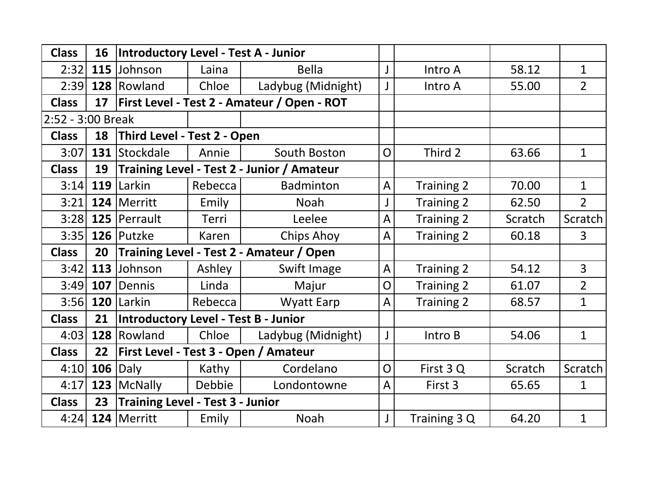| <b>Class</b>      | 16  | Introductory Level - Test A - Junior        |         |                                              |                |                   |         |                |
|-------------------|-----|---------------------------------------------|---------|----------------------------------------------|----------------|-------------------|---------|----------------|
| 2:32              |     | 115 Johnson                                 | Laina   | <b>Bella</b>                                 |                | Intro A           | 58.12   | $\mathbf{1}$   |
| 2:39              |     | 128 Rowland                                 | Chloe   | Ladybug (Midnight)                           |                | Intro A           | 55.00   | $\overline{2}$ |
| <b>Class</b>      | 17  |                                             |         | First Level - Test 2 - Amateur / Open - ROT  |                |                   |         |                |
| 2:52 - 3:00 Break |     |                                             |         |                                              |                |                   |         |                |
| <b>Class</b>      | 18  | Third Level - Test 2 - Open                 |         |                                              |                |                   |         |                |
| 3:07              |     | 131 Stockdale                               | Annie   | South Boston                                 | $\overline{O}$ | Third 2           | 63.66   | $\mathbf{1}$   |
| <b>Class</b>      | 19  |                                             |         | Training Level - Test 2 - Junior / Amateur   |                |                   |         |                |
| 3:14              |     | $119$ Larkin                                | Rebecca | <b>Badminton</b>                             | $\overline{A}$ | <b>Training 2</b> | 70.00   | $\mathbf{1}$   |
| 3:21              |     | 124 Merritt                                 | Emily   | <b>Noah</b>                                  |                | <b>Training 2</b> | 62.50   | $2^{\circ}$    |
| 3:28              |     | 125   Perrault                              | Terri   | Leelee                                       | $\overline{A}$ | Training 2        | Scratch | Scratch        |
| 3:35              |     | 126 Putzke                                  | Karen   | <b>Chips Ahoy</b>                            | A              | <b>Training 2</b> | 60.18   | $\overline{3}$ |
| <b>Class</b>      | 20  | Training Level - Test 2 - Amateur / Open    |         |                                              |                |                   |         |                |
| 3:42              |     | 113 Johnson                                 | Ashley  | Swift Image                                  | $\overline{A}$ | <b>Training 2</b> | 54.12   | $\overline{3}$ |
| 3:49              | 107 | Dennis                                      | Linda   | Majur                                        | O              | <b>Training 2</b> | 61.07   | $\overline{2}$ |
| 3:56              |     | 120 Larkin                                  | Rebecca | <b>Wyatt Earp</b>                            | $\overline{A}$ | Training 2        | 68.57   | $\mathbf{1}$   |
| <b>Class</b>      | 21  | <b>Introductory Level - Test B - Junior</b> |         |                                              |                |                   |         |                |
| 4:03              |     | 128 Rowland                                 | Chloe   | Ladybug (Midnight)                           |                | Intro B           | 54.06   | $\mathbf{1}$   |
| <b>Class</b>      | 22  |                                             |         | <b>First Level - Test 3 - Open / Amateur</b> |                |                   |         |                |
| 4:10              |     | $106$ Daly                                  | Kathy   | Cordelano                                    | O              | First 3 Q         | Scratch | Scratch        |
| 4:17              |     | 123   McNally                               | Debbie  | Londontowne                                  | $\overline{A}$ | First 3           | 65.65   | $\mathbf{1}$   |
| <b>Class</b>      | 23  | <b>Training Level - Test 3 - Junior</b>     |         |                                              |                |                   |         |                |
| 4:24              |     | 124 Merritt                                 | Emily   | <b>Noah</b>                                  |                | Training 3 Q      | 64.20   | $\mathbf{1}$   |